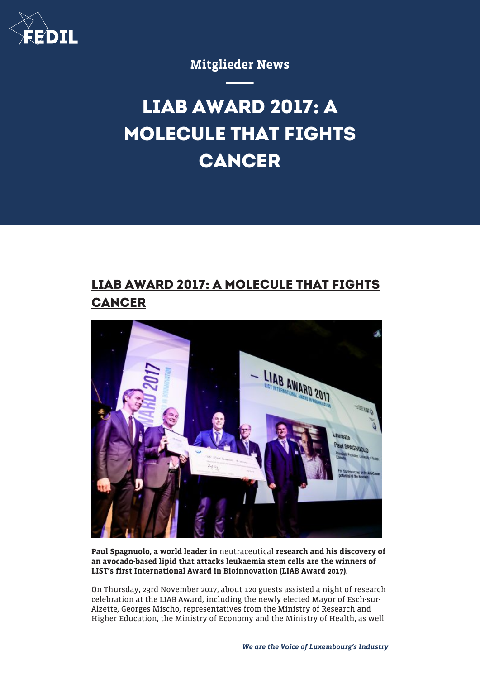

### Mitglieder News

# **LIAB AWARD 2017: A MOLECULE THAT FIGHTS CANCER**

## **LIAB AWARD 2017: A MOLECULE THAT FIGHTS CANCER**



Paul Spagnuolo, a world leader in neutraceutical research and his discovery of an avocado-based lipid that attacks leukaemia stem cells are the winners of LIST's first International Award in Bioinnovation (LIAB Award 2017).

On Thursday, 23rd November 2017, about 120 guests assisted a night of research celebration at the LIAB Award, including the newly elected Mayor of Esch-sur-Alzette, Georges Mischo, representatives from the Ministry of Research and Higher Education, the Ministry of Economy and the Ministry of Health, as well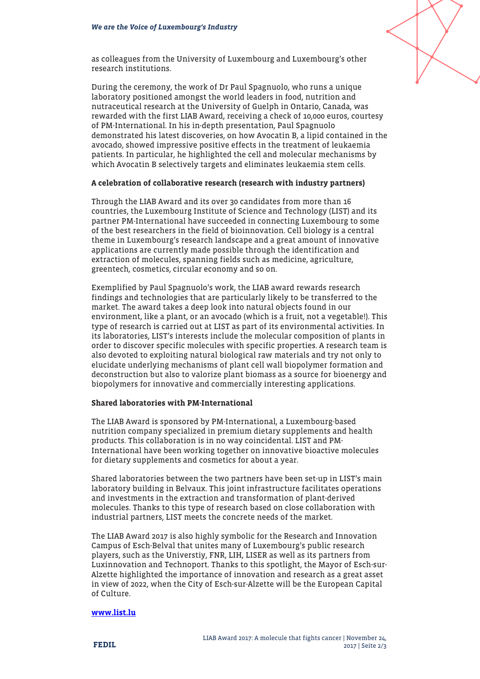

as colleagues from the University of Luxembourg and Luxembourg's other research institutions.

During the ceremony, the work of Dr Paul Spagnuolo, who runs a unique laboratory positioned amongst the world leaders in food, nutrition and nutraceutical research at the University of Guelph in Ontario, Canada, was rewarded with the first LIAB Award, receiving a check of 10,000 euros, courtesy of PM-International. In his in-depth presentation, Paul Spagnuolo demonstrated his latest discoveries, on how Avocatin B, a lipid contained in the avocado, showed impressive positive effects in the treatment of leukaemia patients. In particular, he highlighted the cell and molecular mechanisms by which Avocatin B selectively targets and eliminates leukaemia stem cells.

#### A celebration of collaborative research (research with industry partners)

Through the LIAB Award and its over 30 candidates from more than 16 countries, the Luxembourg Institute of Science and Technology (LIST) and its partner PM-International have succeeded in connecting Luxembourg to some of the best researchers in the field of bioinnovation. Cell biology is a central theme in Luxembourg's research landscape and a great amount of innovative applications are currently made possible through the identification and extraction of molecules, spanning fields such as medicine, agriculture, greentech, cosmetics, circular economy and so on.

Exemplified by Paul Spagnuolo's work, the LIAB award rewards research findings and technologies that are particularly likely to be transferred to the market. The award takes a deep look into natural objects found in our environment, like a plant, or an avocado (which is a fruit, not a vegetable!). This type of research is carried out at LIST as part of its environmental activities. In its laboratories, LIST's interests include the molecular composition of plants in order to discover specific molecules with specific properties. A research team is also devoted to exploiting natural biological raw materials and try not only to elucidate underlying mechanisms of plant cell wall biopolymer formation and deconstruction but also to valorize plant biomass as a source for bioenergy and biopolymers for innovative and commercially interesting applications.

#### Shared laboratories with PM-International

The LIAB Award is sponsored by PM-International, a Luxembourg-based nutrition company specialized in premium dietary supplements and health products. This collaboration is in no way coincidental. LIST and PM-International have been working together on innovative bioactive molecules for dietary supplements and cosmetics for about a year.

Shared laboratories between the two partners have been set-up in LIST's main laboratory building in Belvaux. This joint infrastructure facilitates operations and investments in the extraction and transformation of plant-derived molecules. Thanks to this type of research based on close collaboration with industrial partners, LIST meets the concrete needs of the market.

The LIAB Award 2017 is also highly symbolic for the Research and Innovation Campus of Esch-Belval that unites many of Luxembourg's public research players, such as the Universtiy, FNR, LIH, LISER as well as its partners from Luxinnovation and Technoport. Thanks to this spotlight, the Mayor of Esch-sur-Alzette highlighted the importance of innovation and research as a great asset in view of 2022, when the City of Esch-sur-Alzette will be the European Capital of Culture.

#### [www.list.lu](http://www.list.lu)